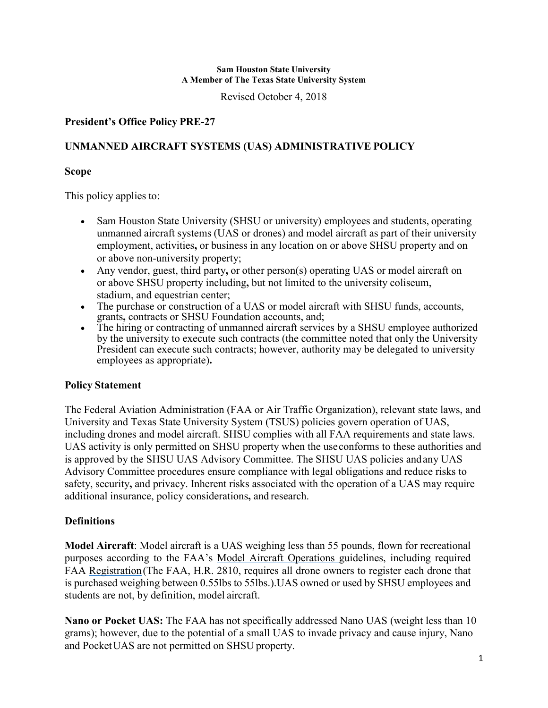Revised October 4, 2018

# **President's Office Policy PRE-27**

# **UNMANNED AIRCRAFT SYSTEMS (UAS) ADMINISTRATIVE POLICY**

### **Scope**

This policy applies to:

- Sam Houston State University (SHSU or university) employees and students, operating unmanned aircraft systems (UAS or drones) and model aircraft as part of their university employment, activities**,** or business in any location on or above SHSU property and on or above non-university property;
- Any vendor, guest, third party**,** or other person(s) operating UAS or model aircraft on or above SHSU property including**,** but not limited to the university coliseum, stadium, and equestrian center;
- The purchase or construction of a UAS or model aircraft with SHSU funds, accounts, grants**,** contracts or SHSU Foundation accounts, and;
- The hiring or contracting of unmanned aircraft services by a SHSU employee authorized by the university to execute such contracts (the committee noted that only the University President can execute such contracts; however, authority may be delegated to university employees as appropriate)**.**

## **Policy Statement**

The Federal Aviation Administration (FAA or Air Traffic Organization), relevant state laws, and University and Texas State University System (TSUS) policies govern operation of UAS, including drones and model aircraft. SHSU complies with all FAA requirements and state laws. UAS activity is only permitted on SHSU property when the useconforms to these authorities and is approved by the SHSU UAS Advisory Committee. The SHSU UAS policies andany UAS Advisory Committee procedures ensure compliance with legal obligations and reduce risks to safety, security**,** and privacy. Inherent risks associated with the operation of a UAS may require additional insurance, policy considerations**,** and research.

## **Definitions**

**Model Aircraft**: Model aircraft is a UAS weighing less than 55 pounds, flown for recreational purposes according to the FAA's [Model Aircraft Operations g](http://www.faa.gov/uas/model_aircraft/)uidelines, including required FAA [Registration\(](http://www.faa.gov/uas/registration/)The FAA, H.R. 2810, requires all drone owners to register each drone that is purchased weighing between 0.55lbs to 55lbs.). UAS owned or used by SHSU employees and students are not, by definition, model aircraft.

**Nano or Pocket UAS:** The FAA has not specifically addressed Nano UAS (weight less than 10 grams); however, due to the potential of a small UAS to invade privacy and cause injury, Nano and PocketUAS are not permitted on SHSU property.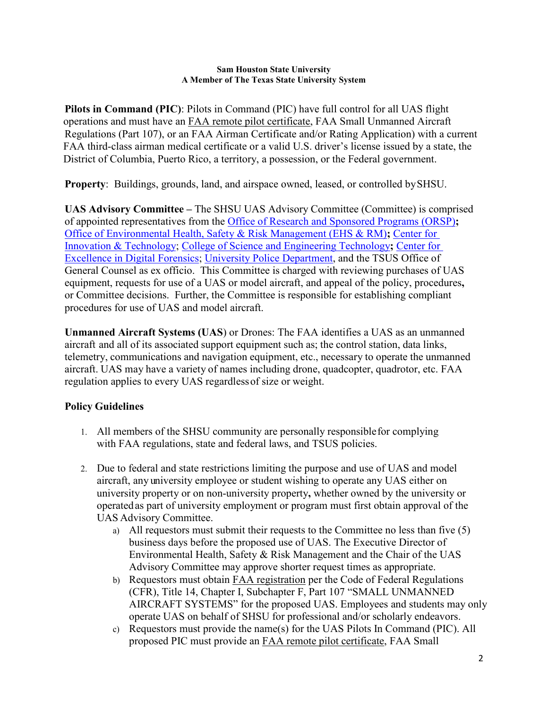**Pilots in Command (PIC)**: Pilots in Command (PIC) have full control for all UAS flight operations and must have an [FAA remote pilot certificate,](https://www.faa.gov/uas/getting_started/fly_for_work_business/becoming_a_pilot/) FAA Small Unmanned Aircraft Regulations (Part 107), or an FAA Airman Certificate and/or Rating Application) with a current FAA third-class airman medical certificate or a valid U.S. driver's license issued by a state, the District of Columbia, Puerto Rico, a territory, a possession, or the Federal government.

**Property**: Buildings, grounds, land, and airspace owned, leased, or controlled bySHSU.

**UAS Advisory Committee –** The SHSU UAS Advisory Committee (Committee) is comprised of appointed representatives from the [Office of Research and Sponsored Programs \(ORSP\)](http://www.shsu.edu/dept/office-of-research-and-sponsored-programs/compliance/uas.html)**;** Office of Environmental Health, [Safety & Risk Management \(EHS & RM\)](http://www.shsu.edu/dept/human-resources/risk-management/)**;** [Center for](http://www.shsu.edu/centers/innovation-and-technology/)  [Innovation & Technology;](http://www.shsu.edu/centers/innovation-and-technology/) [College of Science and Engineering Technology](http://www.shsu.edu/academics/science-and-engineering-technology/)**;** [Center for](http://df.shsu.edu/)  [Excellence in Digital Forensics;](http://df.shsu.edu/) [University Police Department,](http://www.shsu.edu/dept/public-safety/) and the TSUS Office of General Counsel as ex officio. This Committee is charged with reviewing purchases of UAS equipment, requests for use of a UAS or model aircraft, and appeal of the policy, procedures**,** or Committee decisions. Further, the Committee is responsible for establishing compliant procedures for use of UAS and model aircraft.

**Unmanned Aircraft Systems (UAS**) or Drones: The FAA identifies a UAS as an unmanned aircraft and all of its associated support equipment such as; the control station, data links, telemetry, communications and navigation equipment, etc., necessary to operate the unmanned aircraft. UAS may have a variety of names including drone, quadcopter, quadrotor, etc. FAA regulation applies to every UAS regardlessof size or weight.

# **Policy Guidelines**

- 1. All members of the SHSU community are personally responsiblefor complying with FAA regulations, state and federal laws, and TSUS policies.
- 2. Due to federal and state restrictions limiting the purpose and use of UAS and model aircraft, any university employee or student wishing to operate any UAS either on university property or on non-university property**,** whether owned by the university or operatedas part of university employment or program must first obtain approval of the UAS Advisory Committee.
	- a) All requestors must submit their requests to the Committee no less than five (5) business days before the proposed use of UAS. The Executive Director of Environmental Health, Safety & Risk Management and the Chair of the UAS Advisory Committee may approve shorter request times as appropriate.
	- b) Requestors must obtain [FAA registration](http://federaldroneregistration.com/?gclid=CNXt3uXUv9MCFYuKaQod8asKfA) per the Code of Federal Regulations (CFR), Title 14, Chapter I, Subchapter F, Part 107 "SMALL UNMANNED AIRCRAFT SYSTEMS" for the proposed UAS. Employees and students may only operate UAS on behalf of SHSU for professional and/or scholarly endeavors.
	- c) Requestors must provide the name(s) for the UAS Pilots In Command (PIC). All proposed PIC must provide an [FAA remote pilot certificate,](https://www.faa.gov/uas/getting_started/fly_for_work_business/becoming_a_pilot/) FAA Small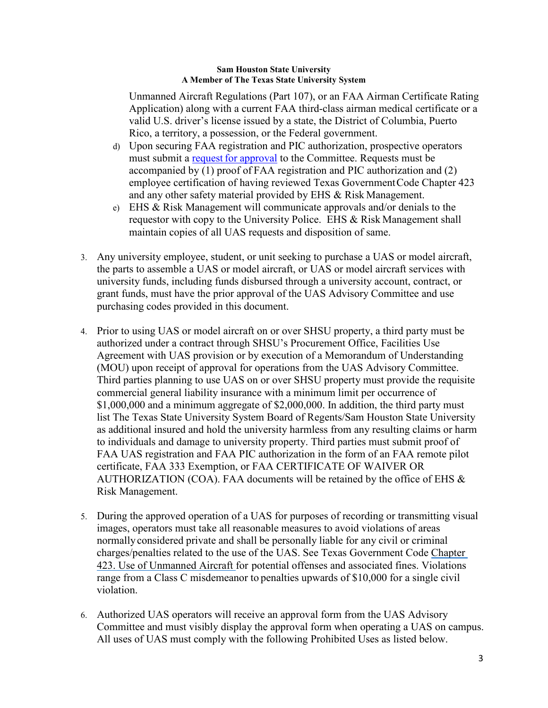Unmanned Aircraft Regulations (Part 107), or an FAA Airman Certificate Rating Application) along with a current FAA third-class airman medical certificate or a valid U.S. driver's license issued by a state, the District of Columbia, Puerto Rico, a territory, a possession, or the Federal government.

- d) Upon securing FAA registration and PIC authorization, prospective operators must submit a request for [approval](http://shsu.edu/dept/office-of-the-president/policies/SHSU+UAS+%28Drone%29+Application_Approval+Form_FINAL.pdf?language_id=1) to the Committee. Requests must be accompanied by (1) proof of FAA registration and PIC authorization and (2) employee certification of having reviewed Texas GovernmentCode Chapter 423 and any other safety material provided by EHS & Risk Management.
- e) EHS & Risk Management will communicate approvals and/or denials to the requestor with copy to the University Police. EHS & Risk Management shall maintain copies of all UAS requests and disposition of same.
- 3. Any university employee, student, or unit seeking to purchase a UAS or model aircraft, the parts to assemble a UAS or model aircraft, or UAS or model aircraft services with university funds, including funds disbursed through a university account, contract, or grant funds, must have the prior approval of the UAS Advisory Committee and use purchasing codes provided in this document.
- 4. Prior to using UAS or model aircraft on or over SHSU property, a third party must be authorized under a contract through SHSU's Procurement Office, Facilities Use Agreement with UAS provision or by execution of a Memorandum of Understanding (MOU) upon receipt of approval for operations from the UAS Advisory Committee. Third parties planning to use UAS on or over SHSU property must provide the requisite commercial general liability insurance with a minimum limit per occurrence of \$1,000,000 and a minimum aggregate of \$2,000,000. In addition, the third party must list The Texas State University System Board of Regents/Sam Houston State University as additional insured and hold the university harmless from any resulting claims or harm to individuals and damage to university property. Third parties must submit proof of FAA UAS registration and FAA PIC authorization in the form of an FAA remote pilot certificate, FAA 333 Exemption, or FAA CERTIFICATE OF WAIVER OR AUTHORIZATION (COA). FAA documents will be retained by the office of EHS  $\&$ Risk Management.
- 5. During the approved operation of a UAS for purposes of recording or transmitting visual images, operators must take all reasonable measures to avoid violations of areas normallyconsidered private and shall be personally liable for any civil or criminal charges/penalties related to the use of the UAS. See Texas Government Code [Chapter](http://www.statutes.legis.state.tx.us/Docs/GV/htm/GV.423.htm)  [423. Use of Unmanned Aircraft f](http://www.statutes.legis.state.tx.us/Docs/GV/htm/GV.423.htm)or potential offenses and associated fines. Violations range from a Class C misdemeanor to penalties upwards of \$10,000 for a single civil violation.
- 6. Authorized UAS operators will receive an approval form from the UAS Advisory Committee and must visibly display the approval form when operating a UAS on campus. All uses of UAS must comply with the following Prohibited Uses as listed below.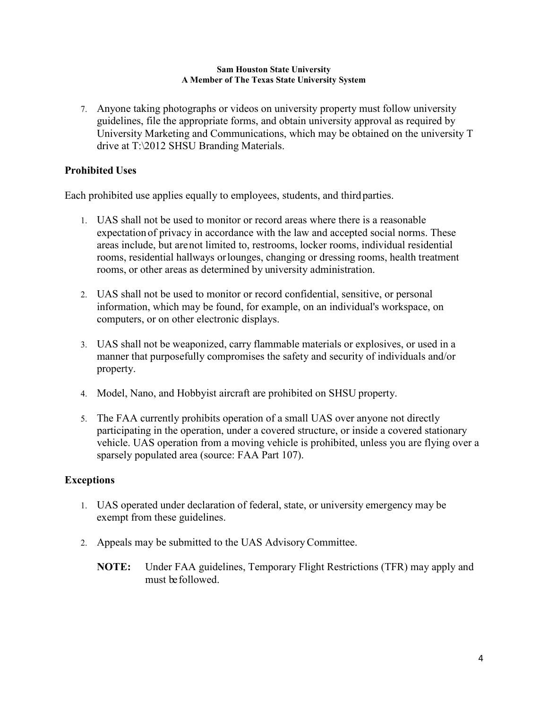7. Anyone taking photographs or videos on university property must follow university guidelines, file the appropriate forms, and obtain university approval as required by University Marketing and Communications, which may be obtained on the university T drive at T:\2012 SHSU Branding Materials.

# **Prohibited Uses**

Each prohibited use applies equally to employees, students, and thirdparties.

- 1. UAS shall not be used to monitor or record areas where there is a reasonable expectation of privacy in accordance with the law and accepted social norms. These areas include, but arenot limited to, restrooms, locker rooms, individual residential rooms, residential hallways orlounges, changing or dressing rooms, health treatment rooms, or other areas as determined by university administration.
- 2. UAS shall not be used to monitor or record confidential, sensitive, or personal information, which may be found, for example, on an individual's workspace, on computers, or on other electronic displays.
- 3. UAS shall not be weaponized, carry flammable materials or explosives, or used in a manner that purposefully compromises the safety and security of individuals and/or property.
- 4. Model, Nano, and Hobbyist aircraft are prohibited on SHSU property.
- 5. The FAA currently prohibits operation of a small UAS over anyone not directly participating in the operation, under a covered structure, or inside a covered stationary vehicle. UAS operation from a moving vehicle is prohibited, unless you are flying over a sparsely populated area (source: FAA Part 107).

## **Exceptions**

- 1. UAS operated under declaration of federal, state, or university emergency may be exempt from these guidelines.
- 2. Appeals may be submitted to the UAS AdvisoryCommittee.
	- **NOTE:** Under FAA guidelines, Temporary Flight Restrictions (TFR) may apply and must befollowed.